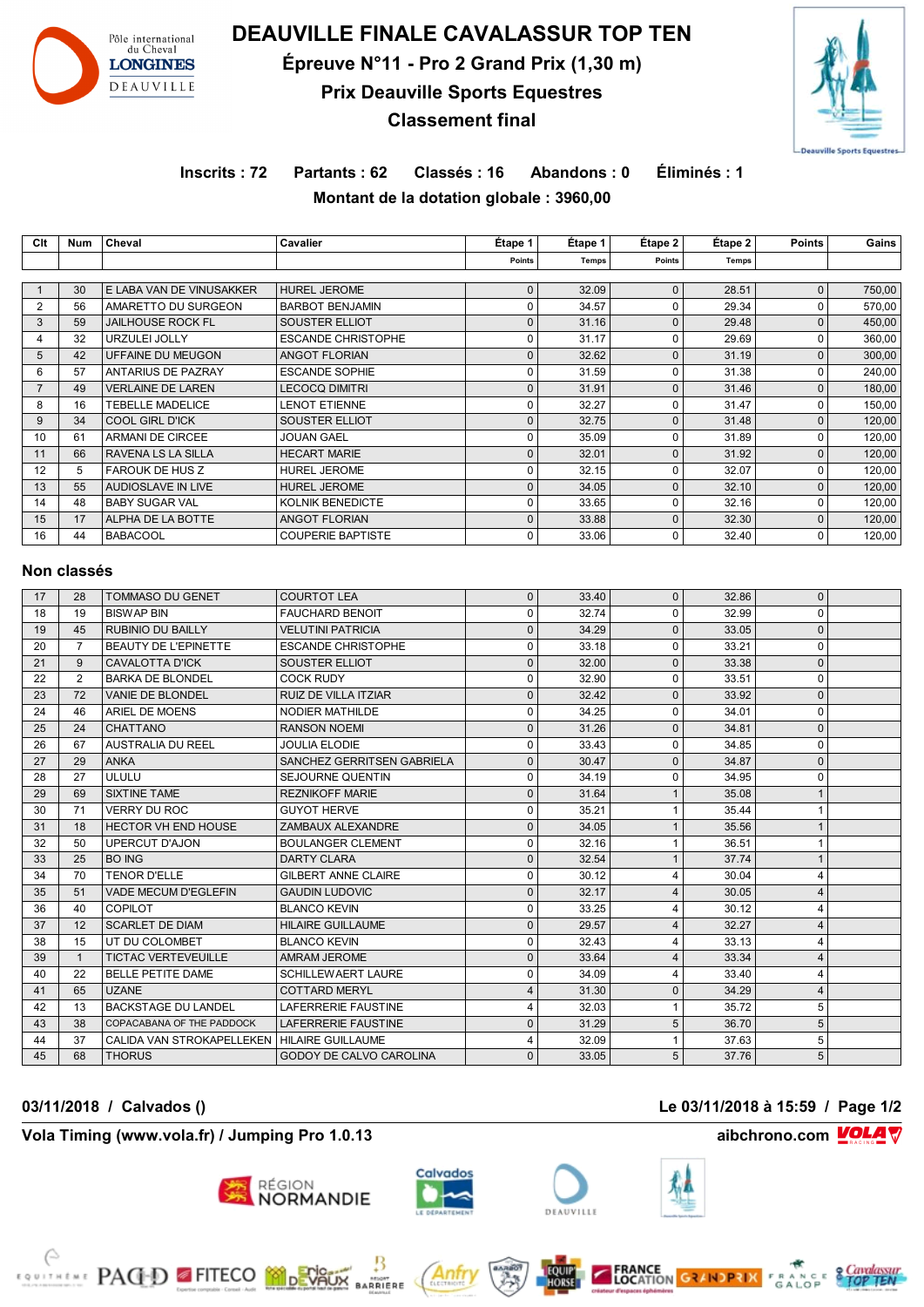

# **DEAUVILLE FINALE CAVALASSUR TOP TEN Épreuve N°11 - Pro 2 Grand Prix (1,30 m) Prix Deauville Sports Equestres Classement final**



# **Inscrits : 72 Partants : 62 Classés : 16 Abandons : 0 Éliminés : 1 Montant de la dotation globale : 3960,00**

**Clt Num Cheval Cavalier Étape 1 Étape 1 Étape 2 Étape 2 Points Gains**

|                                |                |                                                 |                                               | Points                      | <b>Temps</b>   | Points                      | <b>Temps</b>   |                          |                  |
|--------------------------------|----------------|-------------------------------------------------|-----------------------------------------------|-----------------------------|----------------|-----------------------------|----------------|--------------------------|------------------|
|                                |                |                                                 |                                               |                             |                |                             |                |                          |                  |
| $\mathbf{1}$<br>$\overline{2}$ | 30<br>56       | E LABA VAN DE VINUSAKKER<br>AMARETTO DU SURGEON | <b>HUREL JEROME</b><br><b>BARBOT BENJAMIN</b> | $\mathbf{0}$<br>$\mathbf 0$ | 32.09<br>34.57 | $\mathbf{0}$<br>$\mathbf 0$ | 28.51<br>29.34 | $\pmb{0}$<br>$\mathbf 0$ | 750,00<br>570,00 |
| 3                              | 59             | <b>JAILHOUSE ROCK FL</b>                        | SOUSTER ELLIOT                                | $\mathsf 0$                 | 31.16          | $\mathbf 0$                 | 29.48          | $\pmb{0}$                | 450,00           |
| $\overline{4}$                 | 32             | URZULEI JOLLY                                   | <b>ESCANDE CHRISTOPHE</b>                     | $\mathbf 0$                 | 31.17          | $\mathbf 0$                 | 29.69          | $\mathbf 0$              | 360,00           |
| 5                              | 42             | UFFAINE DU MEUGON                               | <b>ANGOT FLORIAN</b>                          | $\mathsf 0$                 | 32.62          | $\mathbf{0}$                | 31.19          | $\mathbf{0}$             | 300,00           |
| 6                              | 57             | <b>ANTARIUS DE PAZRAY</b>                       | <b>ESCANDE SOPHIE</b>                         | $\pmb{0}$                   | 31.59          | $\mathbf 0$                 | 31.38          | $\mathbf 0$              | 240,00           |
| $\overline{7}$                 | 49             | <b>VERLAINE DE LAREN</b>                        | <b>LECOCQ DIMITRI</b>                         | $\mathbf 0$                 | 31.91          | $\mathbf{0}$                | 31.46          | $\mathbf 0$              | 180,00           |
| 8                              | 16             | <b>TEBELLE MADELICE</b>                         | <b>LENOT ETIENNE</b>                          | $\mathbf 0$                 | 32.27          | 0                           | 31.47          | $\mathbf 0$              | 150,00           |
| 9                              | 34             | COOL GIRL D'ICK                                 | SOUSTER ELLIOT                                | $\pmb{0}$                   | 32.75          | $\mathbf 0$                 | 31.48          | $\mathbf 0$              | 120,00           |
| 10                             | 61             | ARMANI DE CIRCEE                                | JOUAN GAEL                                    | $\mathbf 0$                 | 35.09          | $\Omega$                    | 31.89          | $\Omega$                 | 120,00           |
| 11                             | 66             | RAVENA LS LA SILLA                              | <b>HECART MARIE</b>                           | $\mathbf 0$                 | 32.01          | $\Omega$                    | 31.92          | $\mathbf{0}$             | 120.00           |
| 12                             | 5              | <b>FAROUK DE HUS Z</b>                          | <b>HUREL JEROME</b>                           | $\mathbf 0$                 | 32.15          | $\mathbf{0}$                | 32.07          | $\Omega$                 | 120,00           |
| 13                             | 55             | AUDIOSLAVE IN LIVE                              | <b>HUREL JEROME</b>                           | $\mathbf 0$                 | 34.05          | $\Omega$                    | 32.10          | $\mathbf{0}$             | 120.00           |
| 14                             | 48             | <b>BABY SUGAR VAL</b>                           | KOLNIK BENEDICTE                              | $\mathbf 0$                 | 33.65          | $\mathbf 0$                 | 32.16          | $\mathbf 0$              | 120,00           |
| 15                             | 17             | ALPHA DE LA BOTTE                               | <b>ANGOT FLORIAN</b>                          | $\mathsf 0$                 | 33.88          | $\mathbf{0}$                | 32.30          | $\mathbf{0}$             | 120,00           |
| 16                             | 44             | <b>BABACOOL</b>                                 | <b>COUPERIE BAPTISTE</b>                      | $\mathbf 0$                 | 33.06          | 0                           | 32.40          | $\mathbf 0$              | 120,00           |
|                                |                |                                                 |                                               |                             |                |                             |                |                          |                  |
|                                |                |                                                 |                                               |                             |                |                             |                |                          |                  |
|                                | Non classés    |                                                 |                                               |                             |                |                             |                |                          |                  |
| 17                             | 28             | <b>TOMMASO DU GENET</b>                         | <b>COURTOT LEA</b>                            | $\pmb{0}$                   | 33.40          | $\mathbf{0}$                | 32.86          | $\mathbf{0}$             |                  |
| 18                             | 19             | <b>BISWAP BIN</b>                               | <b>FAUCHARD BENOIT</b>                        | $\Omega$                    | 32.74          | $\Omega$                    | 32.99          | $\pmb{0}$                |                  |
| 19                             | 45             | RUBINIO DU BAILLY                               | <b>VELUTINI PATRICIA</b>                      | $\Omega$                    | 34.29          | $\Omega$                    | 33.05          | $\pmb{0}$                |                  |
| 20                             | $\overline{7}$ | <b>BEAUTY DE L'EPINETTE</b>                     | <b>ESCANDE CHRISTOPHE</b>                     | $\mathbf 0$                 | 33.18          | 0                           | 33.21          | $\mathbf 0$              |                  |
| 21                             | 9              | <b>CAVALOTTA D'ICK</b>                          | SOUSTER ELLIOT                                | $\mathbf 0$                 | 32.00          | $\mathbf{0}$                | 33.38          | $\mathbf 0$              |                  |
| 22                             | 2              | <b>BARKA DE BLONDEL</b>                         | <b>COCK RUDY</b>                              | $\pmb{0}$                   | 32.90          | $\mathbf 0$                 | 33.51          | $\mathbf 0$              |                  |
| 23                             | 72             | VANIE DE BLONDEL                                | RUIZ DE VILLA ITZIAR                          | $\mathbf 0$                 | 32.42          | $\mathbf 0$                 | 33.92          | $\pmb{0}$                |                  |
| 24                             | 46             | ARIEL DE MOENS                                  | NODIER MATHILDE                               | $\pmb{0}$                   | 34.25          | 0                           | 34.01          | $\mathbf 0$              |                  |
| 25                             | 24             | <b>CHATTANO</b>                                 | <b>RANSON NOEMI</b>                           | $\mathbf 0$                 | 31.26          | $\mathbf 0$                 | 34.81          | $\mathbf{0}$             |                  |
| 26                             | 67             | <b>AUSTRALIA DU REEL</b>                        | <b>JOULIA ELODIE</b>                          | $\mathbf 0$                 | 33.43          | $\mathbf 0$                 | 34.85          | $\mathbf 0$              |                  |
| 27                             | 29             | <b>ANKA</b>                                     | SANCHEZ GERRITSEN GABRIELA                    | $\mathbf 0$                 | 30.47          | $\mathbf{0}$                | 34.87          | $\mathbf 0$              |                  |
| 28                             | 27             | ULULU                                           | SEJOURNE QUENTIN                              | $\pmb{0}$                   | 34.19          | $\mathbf 0$                 | 34.95          | $\mathbf 0$              |                  |
| 29                             | 69             | <b>SIXTINE TAME</b>                             | <b>REZNIKOFF MARIE</b>                        | $\mathbf 0$                 | 31.64          | $\mathbf{1}$                | 35.08          | $\mathbf{1}$             |                  |
| 30                             | 71             | <b>VERRY DU ROC</b>                             | <b>GUYOT HERVE</b>                            | $\pmb{0}$                   | 35.21          | $\mathbf{1}$                | 35.44          | $\mathbf{1}$             |                  |
| 31                             | 18             | <b>HECTOR VH END HOUSE</b>                      | ZAMBAUX ALEXANDRE                             | $\mathbf 0$                 | 34.05          | $\mathbf{1}$                | 35.56          | $\mathbf{1}$             |                  |
| 32                             | 50             | <b>UPERCUT D'AJON</b>                           | <b>BOULANGER CLEMENT</b>                      | $\Omega$                    | 32.16          | 1                           | 36.51          | $\mathbf{1}$             |                  |
| 33                             | 25             | <b>BO ING</b>                                   | <b>DARTY CLARA</b>                            | $\mathbf 0$                 | 32.54          | $\mathbf{1}$                | 37.74          | $\mathbf{1}$             |                  |
| 34                             | 70             | <b>TENOR D'ELLE</b>                             | <b>GILBERT ANNE CLAIRE</b>                    | $\mathbf 0$                 | 30.12          | $\overline{4}$              | 30.04          | $\overline{4}$           |                  |
| 35                             | 51             | <b>VADE MECUM D'EGLEFIN</b>                     | <b>GAUDIN LUDOVIC</b>                         | $\mathbf 0$                 | 32.17          | $\overline{4}$              | 30.05          | $\overline{4}$           |                  |
| 36                             | 40             | <b>COPILOT</b>                                  | <b>BLANCO KEVIN</b>                           | $\mathbf 0$                 | 33.25          | $\overline{4}$              | 30.12          | $\overline{4}$           |                  |
| 37                             | 12             | <b>SCARLET DE DIAM</b>                          | <b>HILAIRE GUILLAUME</b>                      | $\mathsf 0$                 | 29.57          | $\overline{4}$              | 32.27          | $\overline{4}$           |                  |
| 38                             | 15             | UT DU COLOMBET                                  | <b>BLANCO KEVIN</b>                           | $\mathbf 0$                 | 32.43          | $\overline{4}$              | 33.13          | $\overline{4}$           |                  |
| 39                             | $\mathbf{1}$   | TICTAC VERTEVEUILLE                             | AMRAM JEROME                                  | $\mathsf 0$                 | 33.64          | $\overline{4}$              | 33.34          | $\overline{4}$           |                  |
| 40                             | 22             | <b>BELLE PETITE DAME</b>                        | SCHILLEWAERT LAURE                            | $\mathbf 0$                 | 34.09          | 4                           | 33.40          | $\overline{4}$           |                  |
| 41                             | 65             | <b>UZANE</b>                                    | <b>COTTARD MERYL</b>                          | $\overline{4}$              | 31.30          | $\mathbf 0$                 | 34.29          | $\overline{4}$           |                  |
| 42                             | 13             | <b>BACKSTAGE DU LANDEL</b>                      | <b>LAFERRERIE FAUSTINE</b>                    | $\overline{4}$              | 32.03          | $\mathbf{1}$                | 35.72          | 5                        |                  |
| 43                             | 38             | COPACABANA OF THE PADDOCK                       | <b>LAFERRERIE FAUSTINE</b>                    | $\pmb{0}$                   | 31.29          | 5                           | 36.70          | 5                        |                  |
| 44                             | 37             | CALIDA VAN STROKAPELLEKEN                       | <b>HILAIRE GUILLAUME</b>                      | $\overline{4}$              | 32.09          | $\mathbf{1}$                | 37.63          | 5                        |                  |
| 45                             | 68             | <b>THORUS</b>                                   | GODOY DE CALVO CAROLINA                       | $\pmb{0}$                   | 33.05          | 5                           | 37.76          | 5                        |                  |

## **03/11/2018 / Calvados () Le 03/11/2018 à 15:59 / Page 1/2**

### **Vola Timing (www.vola.fr) / Jumping Pro 1.0.13 aibchrono.com VOLA**

**EXAMPLE PAGED FITECO MODEVALIX** 

# **RÉGION<br>NORMANDIE**



MSONT<br>RRIERE





**FRANCE**<br>LOCATION GRANDPRIX